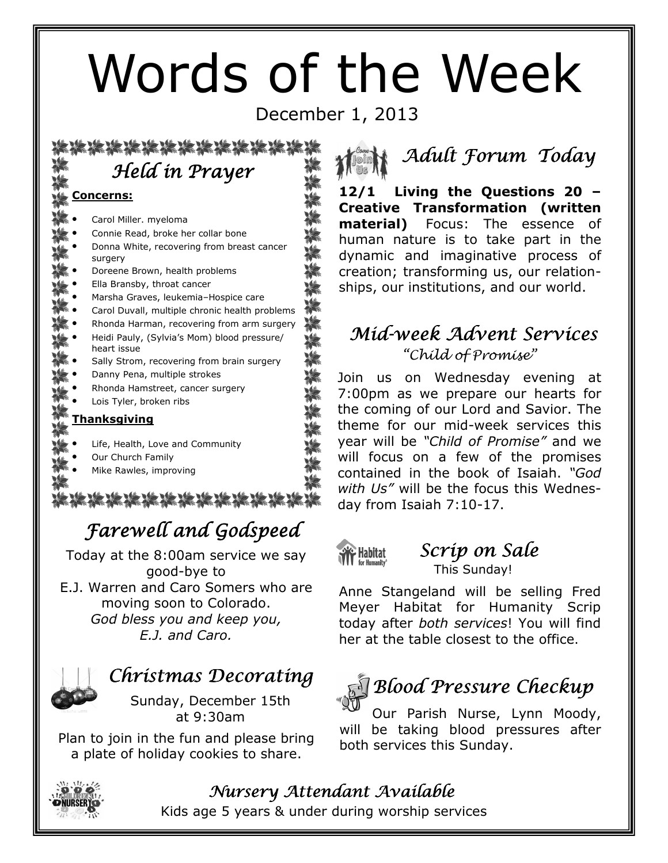# Words of the Week

December 1, 2013

 Held in Prayer

#### Concerns:

- Carol Miller. myeloma
- Connie Read, broke her collar bone
- Donna White, recovering from breast cancer surgery
- Doreene Brown, health problems
- Ella Bransby, throat cancer
- Marsha Graves, leukemia–Hospice care
- Carol Duvall, multiple chronic health problems
- Rhonda Harman, recovering from arm surgery
- Heidi Pauly, (Sylvia's Mom) blood pressure/ heart issue
- Sally Strom, recovering from brain surgery
- Danny Pena, multiple strokes
- Rhonda Hamstreet, cancer surgery
- Lois Tyler, broken ribs

#### Thanksgiving

- Life, Health, Love and Community
- Our Church Family
- Mike Rawles, improving

16 16 16 16 16 16 16 16 16

# Farewell and Godspeed

Today at the 8:00am service we say good-bye to E.J. Warren and Caro Somers who are moving soon to Colorado. God bless you and keep you, E.J. and Caro.



# Christmas Decorating

Sunday, December 15th at 9:30am

Plan to join in the fun and please bring a plate of holiday cookies to share.

| Minh Adult Forum Today |  |
|------------------------|--|
|                        |  |

12/1 Living the Questions 20 – Creative Transformation (written material) Focus: The essence of human nature is to take part in the dynamic and imaginative process of creation; transforming us, our relationships, our institutions, and our world.

#### Mid-week Advent Services "Child of Promise"

Join us on Wednesday evening at 7:00pm as we prepare our hearts for the coming of our Lord and Savior. The theme for our mid-week services this year will be "Child of Promise" and we will focus on a few of the promises contained in the book of Isaiah. "God with Us" will be the focus this Wednesday from Isaiah 7:10-17.



#### Scrip on Sale This Sunday!

Anne Stangeland will be selling Fred Meyer Habitat for Humanity Scrip today after both services! You will find her at the table closest to the office.

# $\P$  Blood Pressure Checkup

Our Parish Nurse, Lynn Moody, will be taking blood pressures after both services this Sunday.



#### Nursery Attendant Available

Kids age 5 years & under during worship services